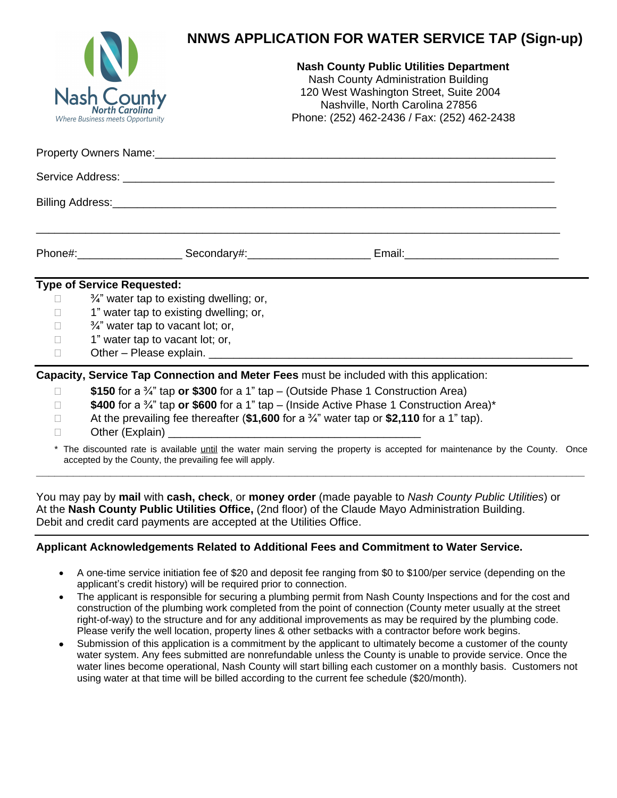|                | <b>NNWS APPLICATION FOR WATER SERVICE TAP (Sign-up)</b>                                                                                                                                                                                                                                   |  |
|----------------|-------------------------------------------------------------------------------------------------------------------------------------------------------------------------------------------------------------------------------------------------------------------------------------------|--|
|                | <b>Nash County Public Utilities Department</b><br><b>Nash County Administration Building</b><br>120 West Washington Street, Suite 2004<br><b>Nash County</b><br>Nashville, North Carolina 27856<br>Phone: (252) 462-2436 / Fax: (252) 462-2438<br><b>Where Business meets Opportunity</b> |  |
|                |                                                                                                                                                                                                                                                                                           |  |
|                |                                                                                                                                                                                                                                                                                           |  |
|                |                                                                                                                                                                                                                                                                                           |  |
|                |                                                                                                                                                                                                                                                                                           |  |
|                | <b>Type of Service Requested:</b>                                                                                                                                                                                                                                                         |  |
|                | 3/4" water tap to existing dwelling; or,                                                                                                                                                                                                                                                  |  |
| $\Box$         | 1" water tap to existing dwelling; or,<br>3/4" water tap to vacant lot; or,                                                                                                                                                                                                               |  |
| $\Box$         | 1" water tap to vacant lot; or,                                                                                                                                                                                                                                                           |  |
| $\mathbb{R}^n$ |                                                                                                                                                                                                                                                                                           |  |
|                | Capacity, Service Tap Connection and Meter Fees must be included with this application:                                                                                                                                                                                                   |  |
| П              | \$150 for a $\frac{3}{4}$ " tap or \$300 for a 1" tap – (Outside Phase 1 Construction Area)                                                                                                                                                                                               |  |
|                | \$400 for a 3/4" tap or \$600 for a 1" tap - (Inside Active Phase 1 Construction Area)*                                                                                                                                                                                                   |  |
| $\Box$         | At the prevailing fee thereafter (\$1,600 for a $\frac{3}{4}$ " water tap or \$2,110 for a 1" tap).                                                                                                                                                                                       |  |
|                | * The discounted rate is available <i>until</i> the water main serving the property is accepted for maintenance by the County. Once<br>accepted by the County, the prevailing fee will apply.                                                                                             |  |

You may pay by **mail** with **cash, check**, or **money order** (made payable to *Nash County Public Utilities*) or At the **Nash County Public Utilities Office,** (2nd floor) of the Claude Mayo Administration Building. Debit and credit card payments are accepted at the Utilities Office.

## **Applicant Acknowledgements Related to Additional Fees and Commitment to Water Service.**

- A one-time service initiation fee of \$20 and deposit fee ranging from \$0 to \$100/per service (depending on the applicant's credit history) will be required prior to connection.
- The applicant is responsible for securing a plumbing permit from Nash County Inspections and for the cost and construction of the plumbing work completed from the point of connection (County meter usually at the street right-of-way) to the structure and for any additional improvements as may be required by the plumbing code. Please verify the well location, property lines & other setbacks with a contractor before work begins.
- Submission of this application is a commitment by the applicant to ultimately become a customer of the county water system. Any fees submitted are nonrefundable unless the County is unable to provide service. Once the water lines become operational, Nash County will start billing each customer on a monthly basis. Customers not using water at that time will be billed according to the current fee schedule (\$20/month).